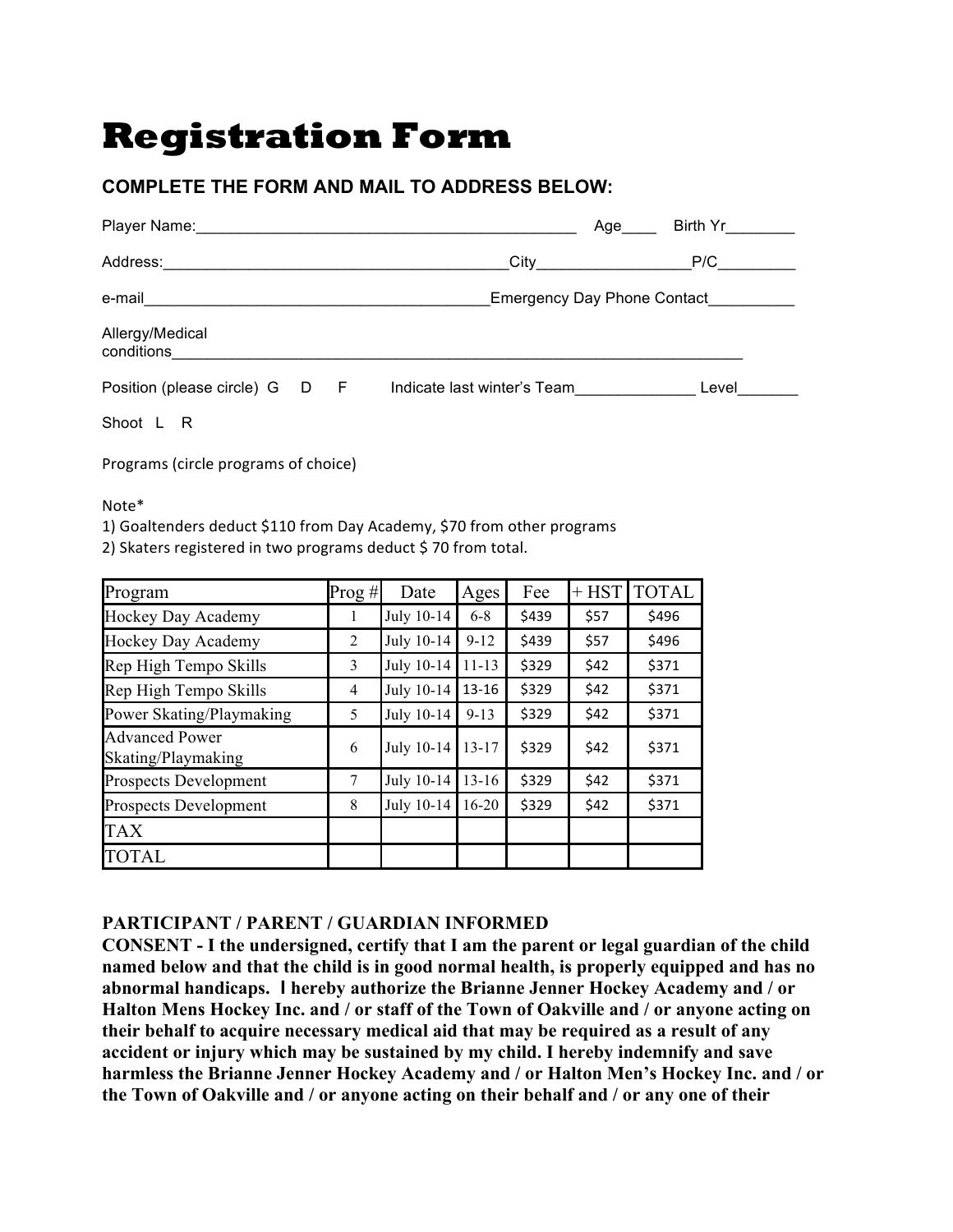## **Registration Form**

## **COMPLETE THE FORM AND MAIL TO ADDRESS BELOW:**

| Player Name: Manual Account of the Manual Account of the Manual Account of the Manual Account of the Manual Account of the Manual Account of the Manual Account of the Manual Account of the Manual Account of the Manual Acco |  |                                    | Age | Birth Yr the the Sea |  |  |  |  |
|--------------------------------------------------------------------------------------------------------------------------------------------------------------------------------------------------------------------------------|--|------------------------------------|-----|----------------------|--|--|--|--|
| Address:                                                                                                                                                                                                                       |  |                                    |     | P/C                  |  |  |  |  |
| e-mail                                                                                                                                                                                                                         |  | <b>Emergency Day Phone Contact</b> |     |                      |  |  |  |  |
| Allergy/Medical<br>conditions                                                                                                                                                                                                  |  |                                    |     |                      |  |  |  |  |
| Position (please circle) G D F                                                                                                                                                                                                 |  | Indicate last winter's Team        |     | Level                |  |  |  |  |

Shoot L R

Programs (circle programs of choice)

Note\* 

1) Goaltenders deduct \$110 from Day Academy, \$70 from other programs

2) Skaters registered in two programs deduct \$70 from total.

| Program                                     | $Prog \#$      | Date       | Ages      | Fee   | $+$ HST | <b>TOTAL</b> |
|---------------------------------------------|----------------|------------|-----------|-------|---------|--------------|
| Hockey Day Academy                          | -1             | July 10-14 | $6 - 8$   | \$439 | \$57    | \$496        |
| Hockey Day Academy                          | 2              | July 10-14 | $9 - 12$  | \$439 | \$57    | \$496        |
| Rep High Tempo Skills                       | 3              | July 10-14 | $11 - 13$ | \$329 | \$42    | \$371        |
| Rep High Tempo Skills                       | $\overline{4}$ | July 10-14 | $13 - 16$ | \$329 | \$42    | \$371        |
| Power Skating/Playmaking                    | 5              | July 10-14 | $9 - 13$  | \$329 | \$42    | \$371        |
| <b>Advanced Power</b><br>Skating/Playmaking | 6              | July 10-14 | $13 - 17$ | \$329 | \$42    | \$371        |
| <b>Prospects Development</b>                | 7              | July 10-14 | $13 - 16$ | \$329 | \$42    | \$371        |
| <b>Prospects Development</b>                | 8              | July 10-14 | $16 - 20$ | \$329 | \$42    | \$371        |
| <b>TAX</b>                                  |                |            |           |       |         |              |
| <b>TOTAL</b>                                |                |            |           |       |         |              |

## **PARTICIPANT / PARENT / GUARDIAN INFORMED**

**CONSENT - I the undersigned, certify that I am the parent or legal guardian of the child named below and that the child is in good normal health, is properly equipped and has no abnormal handicaps. I hereby authorize the Brianne Jenner Hockey Academy and / or Halton Mens Hockey Inc. and / or staff of the Town of Oakville and / or anyone acting on their behalf to acquire necessary medical aid that may be required as a result of any accident or injury which may be sustained by my child. I hereby indemnify and save harmless the Brianne Jenner Hockey Academy and / or Halton Men's Hockey Inc. and / or the Town of Oakville and / or anyone acting on their behalf and / or any one of their**